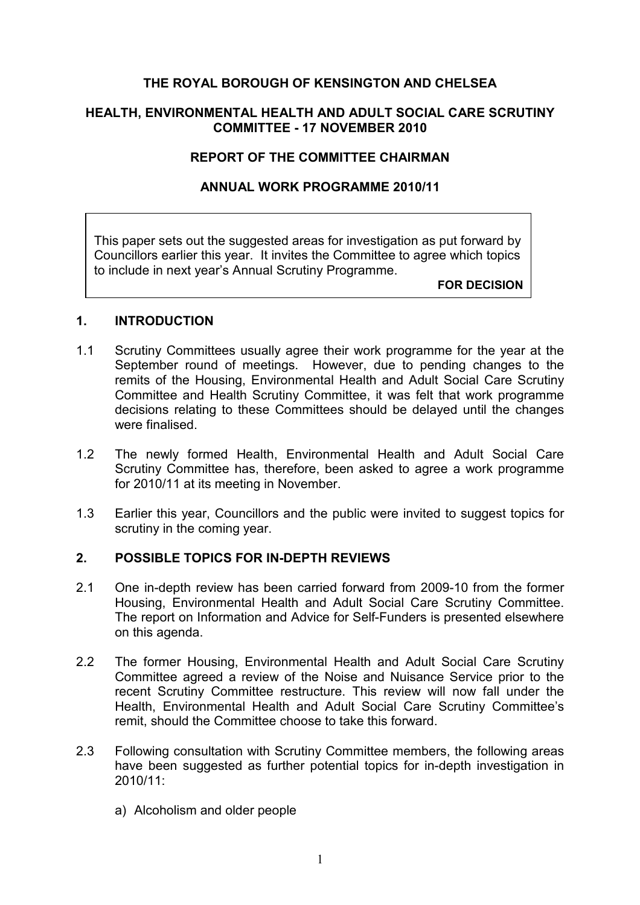# **THE ROYAL BOROUGH OF KENSINGTON AND CHELSEA**

# **HEALTH, ENVIRONMENTAL HEALTH AND ADULT SOCIAL CARE SCRUTINY COMMITTEE - 17 NOVEMBER 2010**

# **REPORT OF THE COMMITTEE CHAIRMAN**

# **ANNUAL WORK PROGRAMME 2010/11**

This paper sets out the suggested areas for investigation as put forward by Councillors earlier this year. It invites the Committee to agree which topics to include in next year's Annual Scrutiny Programme.

**FOR DECISION** 

#### **1. INTRODUCTION**

- 1.1 Scrutiny Committees usually agree their work programme for the year at the September round of meetings. However, due to pending changes to the remits of the Housing, Environmental Health and Adult Social Care Scrutiny Committee and Health Scrutiny Committee, it was felt that work programme decisions relating to these Committees should be delayed until the changes were finalised.
- 1.2 The newly formed Health, Environmental Health and Adult Social Care Scrutiny Committee has, therefore, been asked to agree a work programme for 2010/11 at its meeting in November.
- 1.3 Earlier this year, Councillors and the public were invited to suggest topics for scrutiny in the coming year.

# **2. POSSIBLE TOPICS FOR IN-DEPTH REVIEWS**

- 2.1 One in-depth review has been carried forward from 2009-10 from the former Housing, Environmental Health and Adult Social Care Scrutiny Committee. The report on Information and Advice for Self-Funders is presented elsewhere on this agenda.
- 2.2 The former Housing, Environmental Health and Adult Social Care Scrutiny Committee agreed a review of the Noise and Nuisance Service prior to the recent Scrutiny Committee restructure. This review will now fall under the Health, Environmental Health and Adult Social Care Scrutiny Committee's remit, should the Committee choose to take this forward.
- 2.3 Following consultation with Scrutiny Committee members, the following areas have been suggested as further potential topics for in-depth investigation in 2010/11:
	- a) Alcoholism and older people